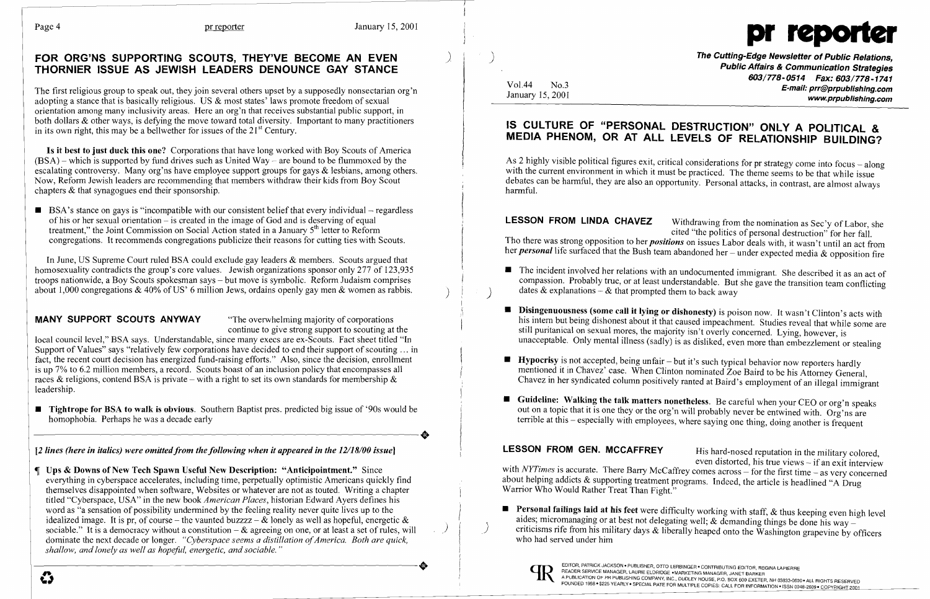

The first religious group to speak out, they join several others upset by a supposedly nonsectarian org'n adopting a stance that is basically religious. US & most states' laws promote freedom of sexual orientation among many inclusivity areas. Here an org'n that receives substantial public support, in both dollars & other ways, is defying the move toward total diversity. Important to many practitioners in its own right, this may be a bellwether for issues of the  $21<sup>st</sup>$  Century.

### FOR ORG'NS SUPPORTING SCOUTS, THEY'VE BECOME AN EVEN THORNIER ISSUE AS JEWISH LEADERS DENOUNCE GAY STANCE

 $\blacksquare$  BSA's stance on gays is "incompatible with our consistent belief that every individual – regardless of his or her sexual orientation - is created in the image of God and is deserving of equal treatment," the Joint Commission on Social Action stated in a January 5<sup>th</sup> letter to Reform congregations. It recommends congregations publicize their reasons for cutting ties with Scouts.

Is it best to just duck this one? Corporations that have long worked with Boy Scouts of America  $(BSA)$  – which is supported by fund drives such as United Way – are bound to be flummoxed by the escalating controversy. Many org'ns have employee support groups for gays & lesbians, among others. Now, Reform Jewish leaders arc recommending that members withdraw their kids from Boy Scout chapters & that synagogues end their sponsorship.

■ Tightrope for BSA to walk is obvious. Southern Baptist pres. predicted big issue of '90s would be homophobia. Perhaps he was a decade early homophobia. Perhaps he was a decade early

[2 lines (here in italics) were omitted from the following when it appeared in the 12/18/00 issue]

 Ups & Downs of New Tech Spawn Useful New Description: "Anticipointment." Since everything in cyberspace accelerates, including time, perpetually optimistic Americans quickly find themselves disappointed when software, Websites or whatever are not as touted. Writing a chapter titled "Cyberspace, USA" in the new book *American Places,* historian Edward Ayers defines his word as "a sensation of possibility undermined by the feeling reality never quite lives up to the idealized image. It is pr, of course – the vaunted buzzzz –  $\&$  lonely as well as hopeful, energetic  $\&$ sociable." It is a democracy without a constitution  $-\&$  agreeing on one, or at least a set of rules, will dominate the next decade or longer. *"Cyberspace seems a distillation of America. Both are quick, shallow, and lonely as well as hopeful, energetic, and sociable. "*   $\sum_{P=0}^{\text{EODCR, ATIRCK, ACKSON - PUBUSE R, OTO LERING CPTR, PET DAND CPTR, PET DAND CPTR, PET DAND CPTR, PET DAND CPTR, PET DAND CPTR, PET DAND CPTR, PET DAND CPTR, PET DAND CPTR, PET DAND CPTR, PET DAND CPTR, PET DAND CPTR, PET DAND CPTR, PET DAND CPTR, PET DAND CPTR, PET DAND CPTR, PET DAND CPTR, PET DAND CPTR, PET DAND CPTR, PET DAND CPTR, PET DAND CPTR, PET DAND CPTR, PET DAND CPTR, PET DAND CPTR$ 

In June, US Supreme Court ruled BSA could exclude gay leaders & members. Scouts argued that homosexuality contradicts the group's core values. Jewish organizations sponsor only 277 of 123,935 troops nationwide, a Boy Scouts spokesman says - but move is symbolic. Reform Judaism comprises about 1,000 congregations & 40% of US' 6 million Jews, ordains openly gay men & women as rabbis.

### MANY SUPPORT SCOUTS ANYWAY "The overwhelming majority of corporations"

The Cutting-Edge Newsletter of Public Relations, Public Affairs & Communication Strategies 603/778-0514 Fax: 603/778-1741 E-mail: prr@prpublishing.com www..prpublishing.com

continue to give strong support to scouting at the

As 2 highly visible political figures exit, critical considerations for pr strategy come into focus - along with the current environment in which it must be practiced. The theme seems to be that while issue debates can be harmful, they are also an opportunity. Personal attacks, in contrast, are almost always harmful.

LESSON FROM LINDA CHAVEZ Withdrawing from the nomination as Sec'y of Labor, she cited "the politics of personal destruction" for her fall. Tho there was strong opposition to her *positions* on issues Labor deals with, it wasn't until an act from her *personal* life surfaced that the Bush team abandoned her - under expected media & opposition fire

- **•** The incident involved her relations with an undocumented immigrant. She described it as an act of dates  $\&$  explanations –  $\&$  that prompted them to back away
- **E** Disingenuousness (some call it lying or dishonesty) is poison now. It wasn't Clinton's acts with still puritanical on sexual mores, the majority isn't overly concerned. Lying, however, is
- **Hypocrisy** is not accepted, being unfair  $-$  but it's such typical behavior now reporters hardly
- **Guideline: Walking the talk matters nonetheless**. Be careful when your CEO or org'n speaks

LESSON FROM GEN. MCCAFFREY His hard-nosed reputation in the military colored, even distorted, his true views  $-$  if an exit interview with *NYTimes* is accurate. There Barry McCaffrey comes across - for the first time - as very concerned about helping addicts & supporting treatment programs. Indeed, the article is headlined "A Drug Warrior Who Would Rather Treat Than Fight."

local council level," BSA says. Understandable, since many execs are ex-Scouts. Fact sheet titled "In Support of Values" says "relatively few corporations have decided to end their support of scouting ... in fact, the recent court decision has energized fund-raising efforts." Also, since the decision, enrollment is up 7% to 6.2 million members, a record. Scouts boast of an inclusion policy that encompasses all races & religions, contend BSA is private – with a right to set its own standards for membership  $\&$ leadership.

mentioned it in Chavez' case. When Clinton nominated Zoe Baird to be his Attorney General, Chavez in her syndicated column positively ranted at Baird's employment of an illegal immigrant

out on a topic that it is one they or the org'n will probably never be entwined with. Org'ns are terrible at this - especially with employees, where saying one thing, doing another is frequent

**• Personal failings laid at his feet** were difficulty working with staff,  $\&$  thus keeping even high level aides; micromanaging or at best not delegating well; & demanding things be done his way  $\overline{\phantom{a}}$ who had served under him



) )

Vol.44 No.3 January 15,2001

## IS CULTURE OF "PERSONAL DESTRUCTION" ONLY A POLITICAL & MEDIA PHENOM, OR AT ALL LEVELS OF RELATIONSHIP BUILDING?

) )

compassion. Probably true, or at least understandable. But she gave the transition team conflicting

his intern but being dishonest about it that caused impeachment. Studies reveal that while some are unacceptable. Only mental illness (sadly) is as disliked, even more than embezzlement or stealing

" ,I

 $\Big\}$ 

! r l' r

 $\vert$ 

) )

criticisms rife from his military days & liberally heaped onto the Washington grapevine by officers